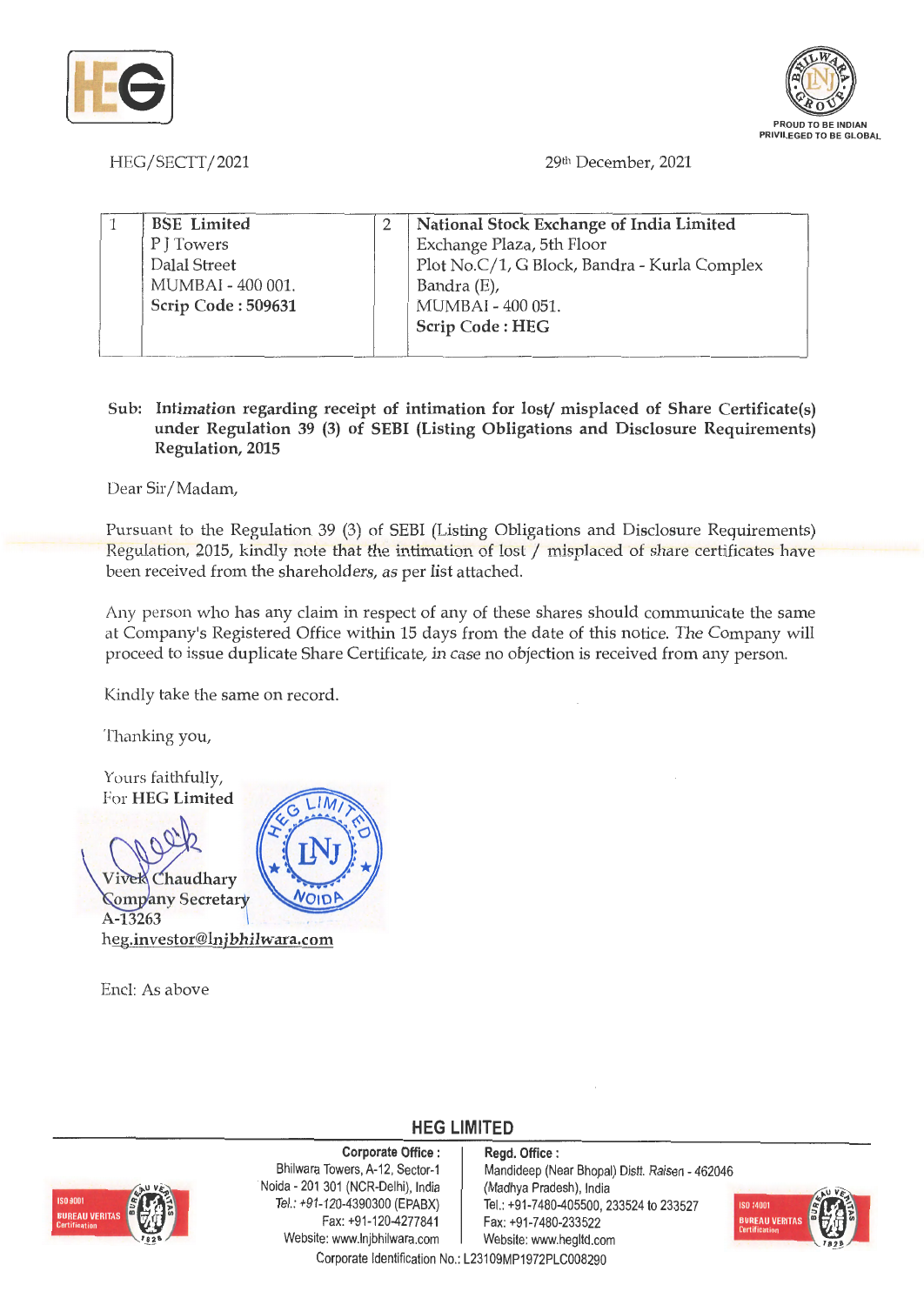



HEG/SECTT/2021

29th December, 2021

| <b>BSE</b> Limited | National Stock Exchange of India Limited     |
|--------------------|----------------------------------------------|
| P J Towers         | Exchange Plaza, 5th Floor                    |
| Dalal Street       | Plot No.C/1, G Block, Bandra - Kurla Complex |
| MUMBAI - 400 001.  | Bandra (E),                                  |
| Scrip Code: 509631 | MUMBAI - 400 051.                            |
|                    | Scrip Code: HEG                              |
|                    |                                              |

## **Sub: Intimation regarding receipt of intimation for lost/ misplaced of Share Certificate(s) under Regulation 39 (3) of SEBI (Listing Obligations and Disclosure Requirements) Regulation, 2015**

Dear Sir/Madam,

Pursuant to the Regulation 39 (3) of SEBI (Listing Obligations and Disclosure Requirements) Regulation, 2015, kindly note that the intimation of lost/ misplaced of share certificates have been received from the shareholders, as per list attached.

Any person who has any claim in respect of any of these shares should communicate the same at Company's Registered Office within 15 days from the date of this notice. The Company will proceed to issue duplicate Share Certificate, in case no objection is received from any person.

Kindly take the same on record.

Thanking you,



Encl: As above



**Corporate Office** : **Regd. Office** : . Noida - 201 301 (NCR-Delhi), India (Madhya Pradesh), India Fax: +91-120-4277841 Fax: +91 -7 480-233522 Website: www.lnjbhilwara.com | Website: www.hegltd.com

Bhilwara Towers, A-12, Sector-1 | Mandideep (Near Bhopal) Distt. Raisen - 462046 Tel.: +91-120-4390300 (EPABX) | Tel.: +91-7480-405500, 233524 to 233521



Corporate Identification No.: L23109MP1972PLC00829

**HEG LIMITED**